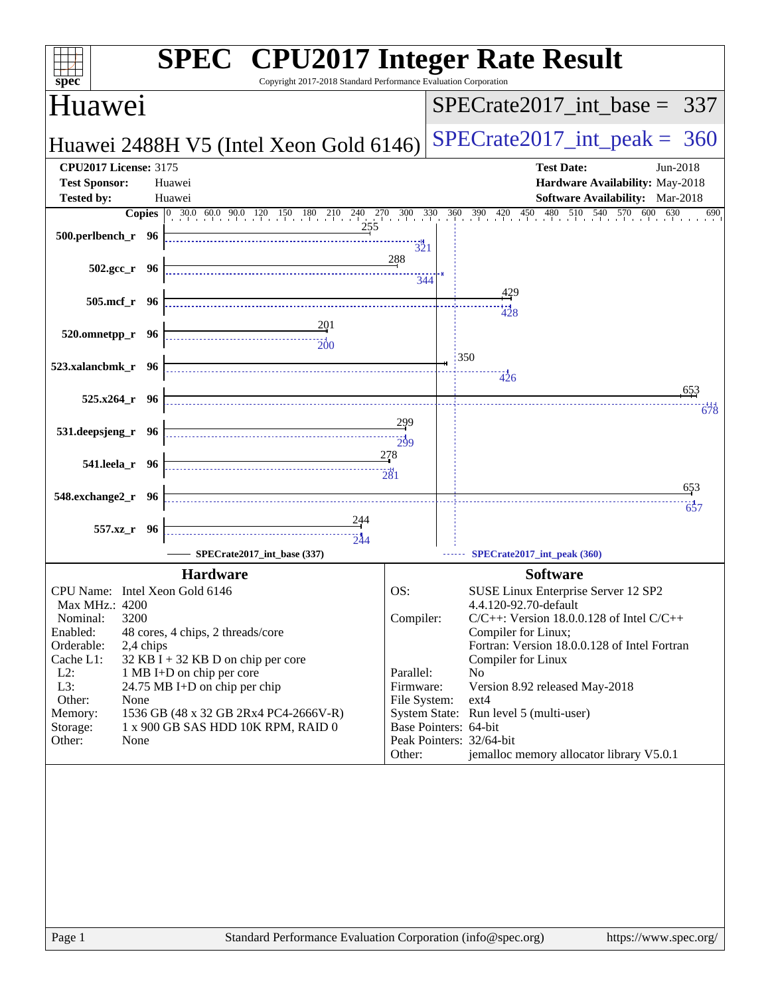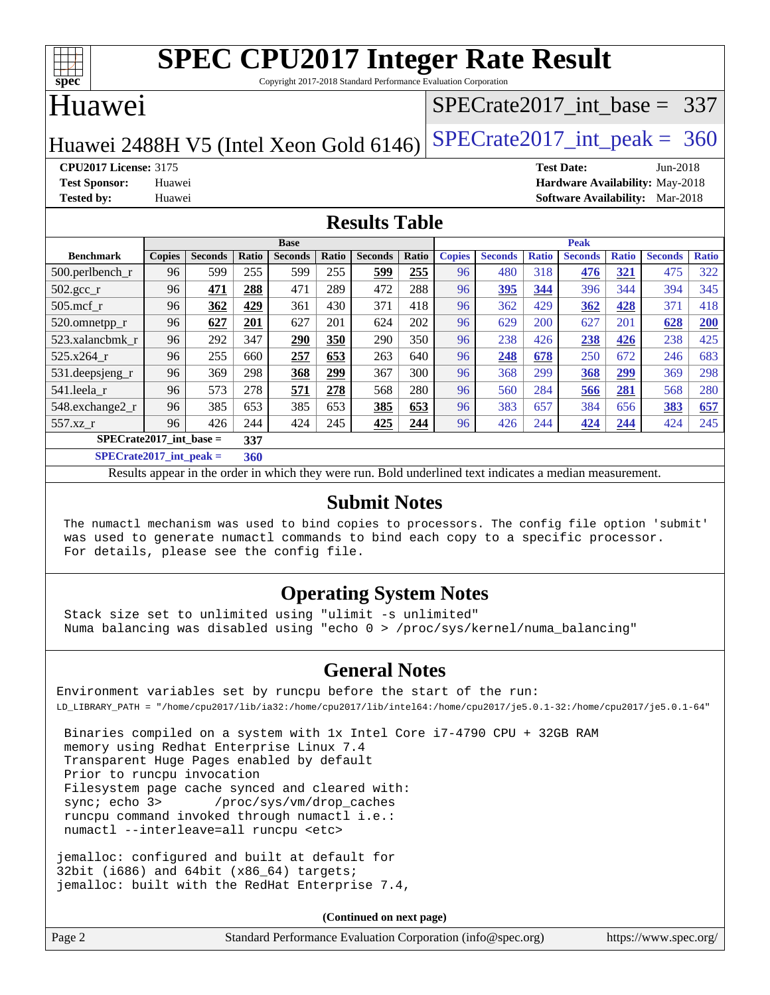

Copyright 2017-2018 Standard Performance Evaluation Corporation

### Huawei

### [SPECrate2017\\_int\\_base =](http://www.spec.org/auto/cpu2017/Docs/result-fields.html#SPECrate2017intbase) 337

Huawei 2488H V5 (Intel Xeon Gold  $6146$ ) [SPECrate2017\\_int\\_peak =](http://www.spec.org/auto/cpu2017/Docs/result-fields.html#SPECrate2017intpeak) 360

**[CPU2017 License:](http://www.spec.org/auto/cpu2017/Docs/result-fields.html#CPU2017License)** 3175 **[Test Date:](http://www.spec.org/auto/cpu2017/Docs/result-fields.html#TestDate)** Jun-2018 **[Test Sponsor:](http://www.spec.org/auto/cpu2017/Docs/result-fields.html#TestSponsor)** Huawei **[Hardware Availability:](http://www.spec.org/auto/cpu2017/Docs/result-fields.html#HardwareAvailability)** May-2018 **[Tested by:](http://www.spec.org/auto/cpu2017/Docs/result-fields.html#Testedby)** Huawei **[Software Availability:](http://www.spec.org/auto/cpu2017/Docs/result-fields.html#SoftwareAvailability)** Mar-2018

### **[Results Table](http://www.spec.org/auto/cpu2017/Docs/result-fields.html#ResultsTable)**

|                           | <b>Base</b>                        |                |       |                |       |                | <b>Peak</b> |               |                |              |                |              |                |              |
|---------------------------|------------------------------------|----------------|-------|----------------|-------|----------------|-------------|---------------|----------------|--------------|----------------|--------------|----------------|--------------|
| <b>Benchmark</b>          | <b>Copies</b>                      | <b>Seconds</b> | Ratio | <b>Seconds</b> | Ratio | <b>Seconds</b> | Ratio       | <b>Copies</b> | <b>Seconds</b> | <b>Ratio</b> | <b>Seconds</b> | <b>Ratio</b> | <b>Seconds</b> | <b>Ratio</b> |
| 500.perlbench_r           | 96                                 | 599            | 255   | 599            | 255   | 599            | 255         | 96            | 480            | 318          | 476            | 321          | 475            | 322          |
| 502.gcc_r                 | 96                                 | 471            | 288   | 471            | 289   | 472            | 288         | 96            | 395            | 344          | 396            | 344          | 394            | 345          |
| $505$ .mcf r              | 96                                 | 362            | 429   | 361            | 430   | 371            | 418         | 96            | 362            | 429          | 362            | 428          | 371            | 418          |
| 520.omnetpp_r             | 96                                 | 627            | 201   | 627            | 201   | 624            | 202         | 96            | 629            | 200          | 627            | 201          | 628            | 200          |
| 523.xalancbmk r           | 96                                 | 292            | 347   | 290            | 350   | 290            | 350         | 96            | 238            | 426          | 238            | 426          | 238            | 425          |
| 525.x264 r                | 96                                 | 255            | 660   | 257            | 653   | 263            | 640         | 96            | 248            | 678          | 250            | 672          | 246            | 683          |
| 531.deepsjeng_r           | 96                                 | 369            | 298   | 368            | 299   | 367            | 300         | 96            | 368            | 299          | 368            | <u>299</u>   | 369            | 298          |
| 541.leela r               | 96                                 | 573            | 278   | 571            | 278   | 568            | 280         | 96            | 560            | 284          | 566            | 281          | 568            | 280          |
| 548.exchange2_r           | 96                                 | 385            | 653   | 385            | 653   | 385            | 653         | 96            | 383            | 657          | 384            | 656          | 383            | 657          |
| 557.xz                    | 96                                 | 426            | 244   | 424            | 245   | 425            | 244         | 96            | 426            | 244          | 424            | 244          | 424            | 245          |
| $SPECrate2017$ int base = |                                    |                | 337   |                |       |                |             |               |                |              |                |              |                |              |
| $-$                       | $\sim$ $\sim$ $\sim$ $\sim$ $\sim$ |                | - - - |                |       |                |             |               |                |              |                |              |                |              |

**[SPECrate2017\\_int\\_peak =](http://www.spec.org/auto/cpu2017/Docs/result-fields.html#SPECrate2017intpeak) 360**

Results appear in the [order in which they were run](http://www.spec.org/auto/cpu2017/Docs/result-fields.html#RunOrder). Bold underlined text [indicates a median measurement](http://www.spec.org/auto/cpu2017/Docs/result-fields.html#Median).

### **[Submit Notes](http://www.spec.org/auto/cpu2017/Docs/result-fields.html#SubmitNotes)**

 The numactl mechanism was used to bind copies to processors. The config file option 'submit' was used to generate numactl commands to bind each copy to a specific processor. For details, please see the config file.

### **[Operating System Notes](http://www.spec.org/auto/cpu2017/Docs/result-fields.html#OperatingSystemNotes)**

 Stack size set to unlimited using "ulimit -s unlimited" Numa balancing was disabled using "echo 0 > /proc/sys/kernel/numa\_balancing"

### **[General Notes](http://www.spec.org/auto/cpu2017/Docs/result-fields.html#GeneralNotes)**

Environment variables set by runcpu before the start of the run: LD\_LIBRARY\_PATH = "/home/cpu2017/lib/ia32:/home/cpu2017/lib/intel64:/home/cpu2017/je5.0.1-32:/home/cpu2017/je5.0.1-64"

 Binaries compiled on a system with 1x Intel Core i7-4790 CPU + 32GB RAM memory using Redhat Enterprise Linux 7.4 Transparent Huge Pages enabled by default Prior to runcpu invocation Filesystem page cache synced and cleared with: sync; echo 3> /proc/sys/vm/drop\_caches runcpu command invoked through numactl i.e.: numactl --interleave=all runcpu <etc>

jemalloc: configured and built at default for 32bit (i686) and 64bit (x86\_64) targets; jemalloc: built with the RedHat Enterprise 7.4,

**(Continued on next page)**

| Standard Performance Evaluation Corporation (info@spec.org)<br>Page 2 | https://www.spec.org/ |
|-----------------------------------------------------------------------|-----------------------|
|-----------------------------------------------------------------------|-----------------------|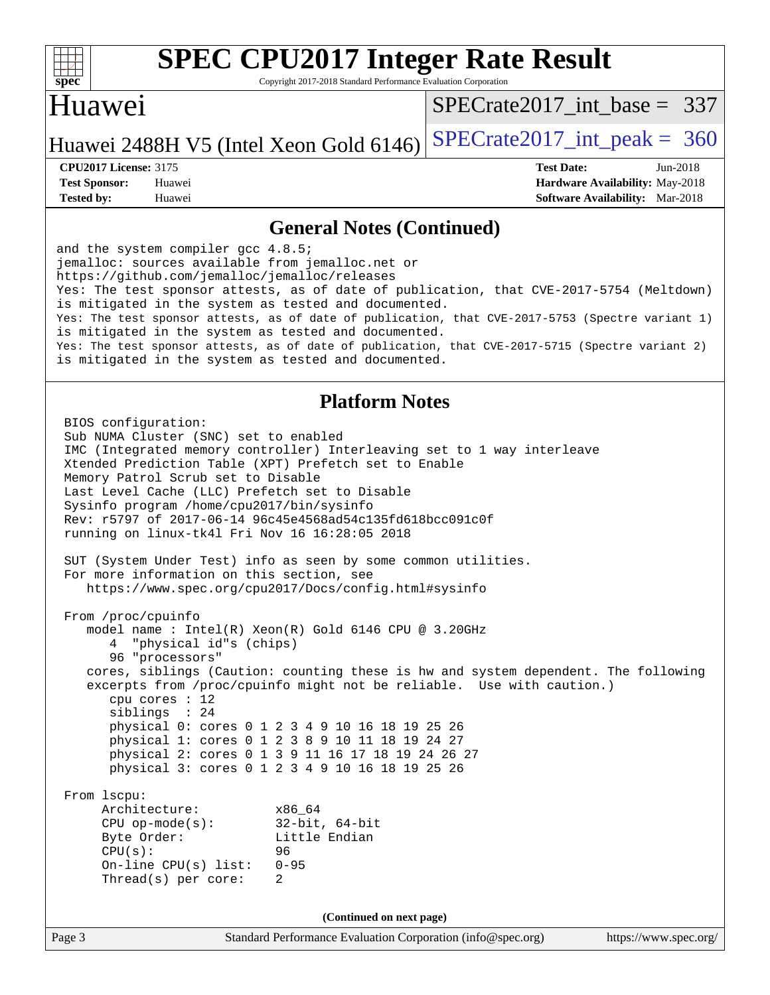

Copyright 2017-2018 Standard Performance Evaluation Corporation

## Huawei

[SPECrate2017\\_int\\_base =](http://www.spec.org/auto/cpu2017/Docs/result-fields.html#SPECrate2017intbase) 337

### Huawei 2488H V5 (Intel Xeon Gold  $6146$ ) [SPECrate2017\\_int\\_peak =](http://www.spec.org/auto/cpu2017/Docs/result-fields.html#SPECrate2017intpeak) 360

**[Tested by:](http://www.spec.org/auto/cpu2017/Docs/result-fields.html#Testedby)** Huawei **[Software Availability:](http://www.spec.org/auto/cpu2017/Docs/result-fields.html#SoftwareAvailability)** Mar-2018

**[CPU2017 License:](http://www.spec.org/auto/cpu2017/Docs/result-fields.html#CPU2017License)** 3175 **[Test Date:](http://www.spec.org/auto/cpu2017/Docs/result-fields.html#TestDate)** Jun-2018 **[Test Sponsor:](http://www.spec.org/auto/cpu2017/Docs/result-fields.html#TestSponsor)** Huawei **[Hardware Availability:](http://www.spec.org/auto/cpu2017/Docs/result-fields.html#HardwareAvailability)** May-2018

### **[General Notes \(Continued\)](http://www.spec.org/auto/cpu2017/Docs/result-fields.html#GeneralNotes)**

and the system compiler gcc 4.8.5; jemalloc: sources available from jemalloc.net or <https://github.com/jemalloc/jemalloc/releases> Yes: The test sponsor attests, as of date of publication, that CVE-2017-5754 (Meltdown) is mitigated in the system as tested and documented. Yes: The test sponsor attests, as of date of publication, that CVE-2017-5753 (Spectre variant 1) is mitigated in the system as tested and documented. Yes: The test sponsor attests, as of date of publication, that CVE-2017-5715 (Spectre variant 2) is mitigated in the system as tested and documented.

### **[Platform Notes](http://www.spec.org/auto/cpu2017/Docs/result-fields.html#PlatformNotes)**

Page 3 Standard Performance Evaluation Corporation [\(info@spec.org\)](mailto:info@spec.org) <https://www.spec.org/> BIOS configuration: Sub NUMA Cluster (SNC) set to enabled IMC (Integrated memory controller) Interleaving set to 1 way interleave Xtended Prediction Table (XPT) Prefetch set to Enable Memory Patrol Scrub set to Disable Last Level Cache (LLC) Prefetch set to Disable Sysinfo program /home/cpu2017/bin/sysinfo Rev: r5797 of 2017-06-14 96c45e4568ad54c135fd618bcc091c0f running on linux-tk4l Fri Nov 16 16:28:05 2018 SUT (System Under Test) info as seen by some common utilities. For more information on this section, see <https://www.spec.org/cpu2017/Docs/config.html#sysinfo> From /proc/cpuinfo model name : Intel(R) Xeon(R) Gold 6146 CPU @ 3.20GHz 4 "physical id"s (chips) 96 "processors" cores, siblings (Caution: counting these is hw and system dependent. The following excerpts from /proc/cpuinfo might not be reliable. Use with caution.) cpu cores : 12 siblings : 24 physical 0: cores 0 1 2 3 4 9 10 16 18 19 25 26 physical 1: cores 0 1 2 3 8 9 10 11 18 19 24 27 physical 2: cores 0 1 3 9 11 16 17 18 19 24 26 27 physical 3: cores 0 1 2 3 4 9 10 16 18 19 25 26 From lscpu: Architecture: x86\_64 CPU op-mode(s): 32-bit, 64-bit Byte Order: Little Endian CPU(s): 96 On-line CPU(s) list: 0-95 Thread(s) per core: 2 **(Continued on next page)**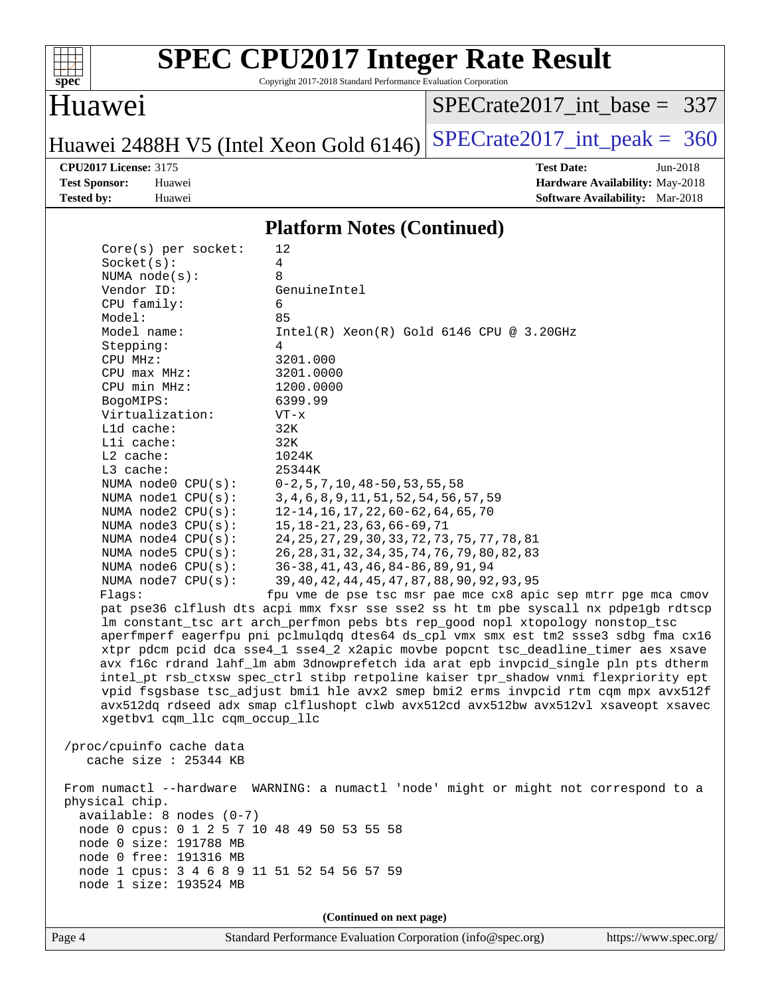

Copyright 2017-2018 Standard Performance Evaluation Corporation

### Huawei

[SPECrate2017\\_int\\_base =](http://www.spec.org/auto/cpu2017/Docs/result-fields.html#SPECrate2017intbase) 337

Huawei 2488H V5 (Intel Xeon Gold 6146) SPECrate  $2017$ \_int\_peak = 360

**[CPU2017 License:](http://www.spec.org/auto/cpu2017/Docs/result-fields.html#CPU2017License)** 3175 **[Test Date:](http://www.spec.org/auto/cpu2017/Docs/result-fields.html#TestDate)** Jun-2018 **[Test Sponsor:](http://www.spec.org/auto/cpu2017/Docs/result-fields.html#TestSponsor)** Huawei **[Hardware Availability:](http://www.spec.org/auto/cpu2017/Docs/result-fields.html#HardwareAvailability)** May-2018 **[Tested by:](http://www.spec.org/auto/cpu2017/Docs/result-fields.html#Testedby)** Huawei **[Software Availability:](http://www.spec.org/auto/cpu2017/Docs/result-fields.html#SoftwareAvailability)** Mar-2018

### **[Platform Notes \(Continued\)](http://www.spec.org/auto/cpu2017/Docs/result-fields.html#PlatformNotes)**

| Core(s) per socket:                                                                                                                                                      | 12                                                                                                                                                   |  |  |  |  |  |
|--------------------------------------------------------------------------------------------------------------------------------------------------------------------------|------------------------------------------------------------------------------------------------------------------------------------------------------|--|--|--|--|--|
| Socket(s):                                                                                                                                                               | 4                                                                                                                                                    |  |  |  |  |  |
| NUMA $node(s):$                                                                                                                                                          | 8                                                                                                                                                    |  |  |  |  |  |
| Vendor ID:                                                                                                                                                               | GenuineIntel                                                                                                                                         |  |  |  |  |  |
| CPU family:                                                                                                                                                              | 6                                                                                                                                                    |  |  |  |  |  |
| Model:                                                                                                                                                                   | 85                                                                                                                                                   |  |  |  |  |  |
| Model name:                                                                                                                                                              | $Intel(R)$ Xeon $(R)$ Gold 6146 CPU @ 3.20GHz                                                                                                        |  |  |  |  |  |
| Stepping:                                                                                                                                                                | 4                                                                                                                                                    |  |  |  |  |  |
| CPU MHz:                                                                                                                                                                 | 3201.000                                                                                                                                             |  |  |  |  |  |
| $CPU$ max $MHz$ :                                                                                                                                                        | 3201.0000                                                                                                                                            |  |  |  |  |  |
| CPU min MHz:                                                                                                                                                             | 1200.0000                                                                                                                                            |  |  |  |  |  |
| BogoMIPS:                                                                                                                                                                | 6399.99                                                                                                                                              |  |  |  |  |  |
| Virtualization:                                                                                                                                                          | $VT - x$                                                                                                                                             |  |  |  |  |  |
| L1d cache:                                                                                                                                                               | 32K                                                                                                                                                  |  |  |  |  |  |
| Lli cache:                                                                                                                                                               | 32K                                                                                                                                                  |  |  |  |  |  |
| L2 cache:                                                                                                                                                                | 1024K                                                                                                                                                |  |  |  |  |  |
| L3 cache:                                                                                                                                                                | 25344K                                                                                                                                               |  |  |  |  |  |
| NUMA node0 CPU(s):                                                                                                                                                       | $0-2$ , 5, 7, 10, 48-50, 53, 55, 58                                                                                                                  |  |  |  |  |  |
| NUMA nodel CPU(s):                                                                                                                                                       | 3, 4, 6, 8, 9, 11, 51, 52, 54, 56, 57, 59                                                                                                            |  |  |  |  |  |
| NUMA node2 CPU(s):                                                                                                                                                       | 12-14, 16, 17, 22, 60-62, 64, 65, 70                                                                                                                 |  |  |  |  |  |
| NUMA $node3$ $CPU(s):$                                                                                                                                                   | 15, 18-21, 23, 63, 66-69, 71                                                                                                                         |  |  |  |  |  |
| NUMA node4 CPU(s):                                                                                                                                                       | 24, 25, 27, 29, 30, 33, 72, 73, 75, 77, 78, 81                                                                                                       |  |  |  |  |  |
| NUMA node5 CPU(s):                                                                                                                                                       | 26, 28, 31, 32, 34, 35, 74, 76, 79, 80, 82, 83                                                                                                       |  |  |  |  |  |
| NUMA node6 CPU(s):                                                                                                                                                       | 36-38, 41, 43, 46, 84-86, 89, 91, 94<br>39, 40, 42, 44, 45, 47, 87, 88, 90, 92, 93, 95                                                               |  |  |  |  |  |
| NUMA node7 CPU(s):<br>Flaqs:                                                                                                                                             |                                                                                                                                                      |  |  |  |  |  |
|                                                                                                                                                                          | fpu vme de pse tsc msr pae mce cx8 apic sep mtrr pge mca cmov<br>pat pse36 clflush dts acpi mmx fxsr sse sse2 ss ht tm pbe syscall nx pdpelgb rdtscp |  |  |  |  |  |
|                                                                                                                                                                          | lm constant_tsc art arch_perfmon pebs bts rep_good nopl xtopology nonstop_tsc                                                                        |  |  |  |  |  |
|                                                                                                                                                                          | aperfmperf eagerfpu pni pclmulqdq dtes64 ds_cpl vmx smx est tm2 ssse3 sdbg fma cx16                                                                  |  |  |  |  |  |
|                                                                                                                                                                          | xtpr pdcm pcid dca sse4_1 sse4_2 x2apic movbe popcnt tsc_deadline_timer aes xsave                                                                    |  |  |  |  |  |
|                                                                                                                                                                          |                                                                                                                                                      |  |  |  |  |  |
| avx f16c rdrand lahf_lm abm 3dnowprefetch ida arat epb invpcid_single pln pts dtherm                                                                                     |                                                                                                                                                      |  |  |  |  |  |
| intel_pt rsb_ctxsw spec_ctrl stibp retpoline kaiser tpr_shadow vnmi flexpriority ept                                                                                     |                                                                                                                                                      |  |  |  |  |  |
| vpid fsgsbase tsc_adjust bmil hle avx2 smep bmi2 erms invpcid rtm cqm mpx avx512f<br>avx512dq rdseed adx smap clflushopt clwb avx512cd avx512bw avx512vl xsaveopt xsavec |                                                                                                                                                      |  |  |  |  |  |
| xgetbv1 cqm_llc cqm_occup_llc                                                                                                                                            |                                                                                                                                                      |  |  |  |  |  |
|                                                                                                                                                                          |                                                                                                                                                      |  |  |  |  |  |
| /proc/cpuinfo cache data                                                                                                                                                 |                                                                                                                                                      |  |  |  |  |  |
| cache size : $25344$ KB                                                                                                                                                  |                                                                                                                                                      |  |  |  |  |  |
|                                                                                                                                                                          |                                                                                                                                                      |  |  |  |  |  |
|                                                                                                                                                                          | From numactl --hardware WARNING: a numactl 'node' might or might not correspond to a                                                                 |  |  |  |  |  |
| physical chip.                                                                                                                                                           |                                                                                                                                                      |  |  |  |  |  |
| $available: 8 nodes (0-7)$                                                                                                                                               |                                                                                                                                                      |  |  |  |  |  |
| node 0 cpus: 0 1 2 5 7 10 48 49 50 53 55 58                                                                                                                              |                                                                                                                                                      |  |  |  |  |  |
| node 0 size: 191788 MB                                                                                                                                                   |                                                                                                                                                      |  |  |  |  |  |
| node 0 free: 191316 MB                                                                                                                                                   |                                                                                                                                                      |  |  |  |  |  |
| node 1 cpus: 3 4 6 8 9 11 51 52 54 56 57 59                                                                                                                              |                                                                                                                                                      |  |  |  |  |  |
| node 1 size: 193524 MB                                                                                                                                                   |                                                                                                                                                      |  |  |  |  |  |
|                                                                                                                                                                          |                                                                                                                                                      |  |  |  |  |  |
|                                                                                                                                                                          | (Continued on next page)                                                                                                                             |  |  |  |  |  |
|                                                                                                                                                                          |                                                                                                                                                      |  |  |  |  |  |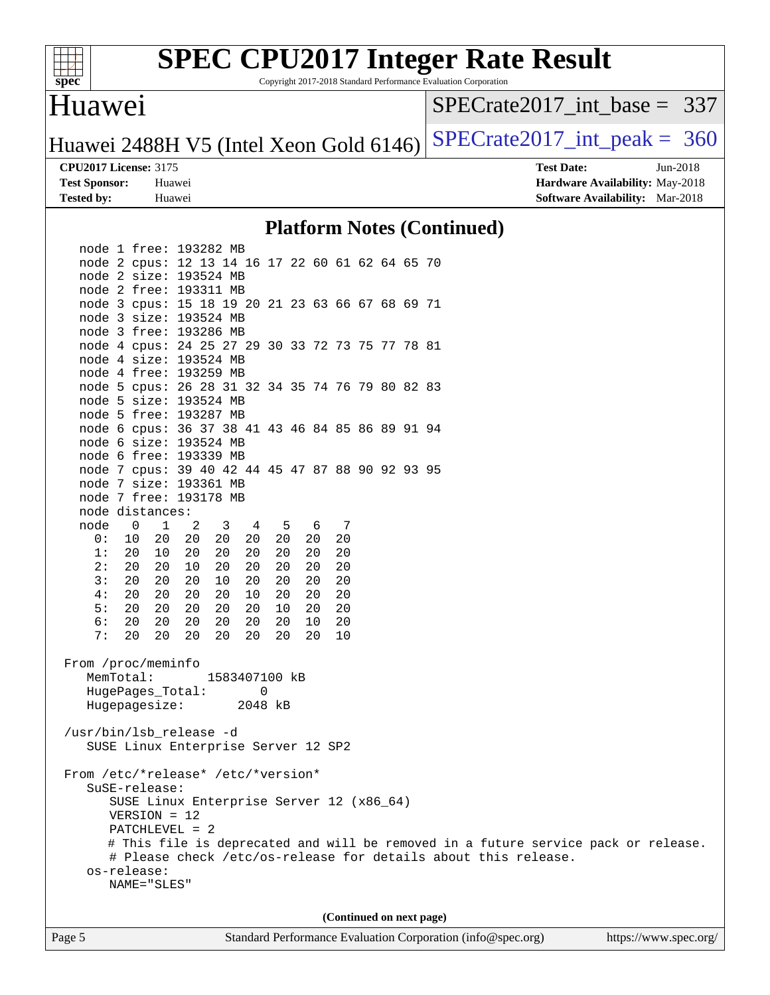

Copyright 2017-2018 Standard Performance Evaluation Corporation

### Huawei

[SPECrate2017\\_int\\_base =](http://www.spec.org/auto/cpu2017/Docs/result-fields.html#SPECrate2017intbase) 337

Huawei 2488H V5 (Intel Xeon Gold  $6146$ ) [SPECrate2017\\_int\\_peak =](http://www.spec.org/auto/cpu2017/Docs/result-fields.html#SPECrate2017intpeak) 360

**[Tested by:](http://www.spec.org/auto/cpu2017/Docs/result-fields.html#Testedby)** Huawei **[Software Availability:](http://www.spec.org/auto/cpu2017/Docs/result-fields.html#SoftwareAvailability)** Mar-2018

**[CPU2017 License:](http://www.spec.org/auto/cpu2017/Docs/result-fields.html#CPU2017License)** 3175 **[Test Date:](http://www.spec.org/auto/cpu2017/Docs/result-fields.html#TestDate)** Jun-2018 **[Test Sponsor:](http://www.spec.org/auto/cpu2017/Docs/result-fields.html#TestSponsor)** Huawei **[Hardware Availability:](http://www.spec.org/auto/cpu2017/Docs/result-fields.html#HardwareAvailability)** May-2018

### **[Platform Notes \(Continued\)](http://www.spec.org/auto/cpu2017/Docs/result-fields.html#PlatformNotes)**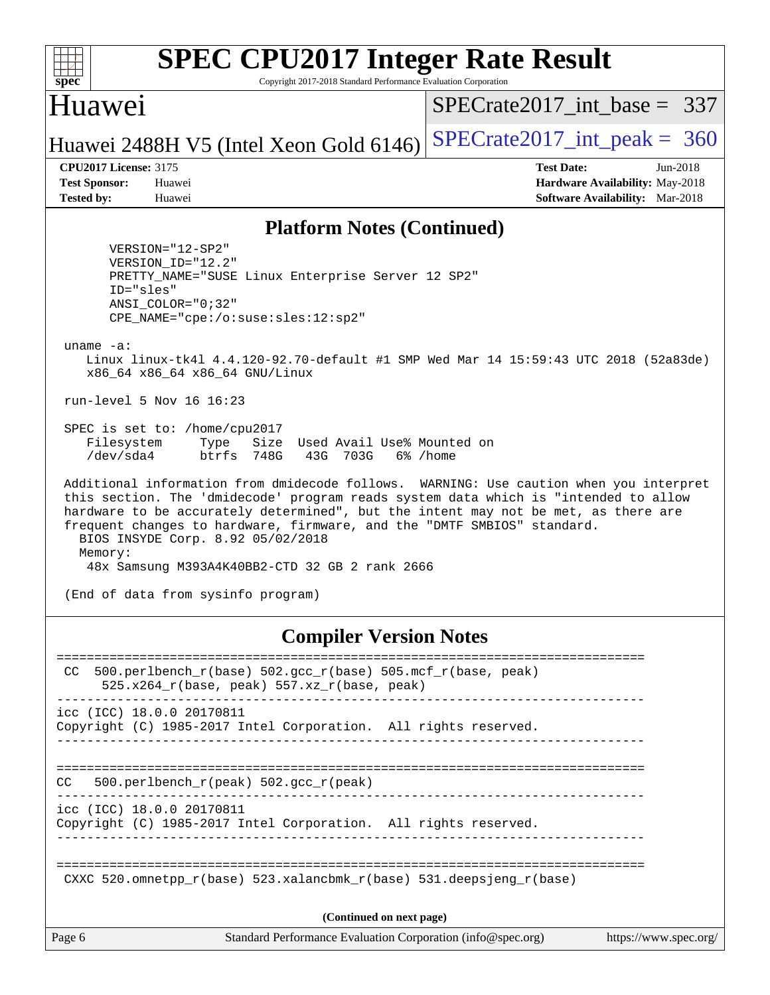

Copyright 2017-2018 Standard Performance Evaluation Corporation

### Huawei

[SPECrate2017\\_int\\_base =](http://www.spec.org/auto/cpu2017/Docs/result-fields.html#SPECrate2017intbase) 337

## Huawei 2488H V5 (Intel Xeon Gold  $6146$ ) [SPECrate2017\\_int\\_peak =](http://www.spec.org/auto/cpu2017/Docs/result-fields.html#SPECrate2017intpeak) 360

**[CPU2017 License:](http://www.spec.org/auto/cpu2017/Docs/result-fields.html#CPU2017License)** 3175 **[Test Date:](http://www.spec.org/auto/cpu2017/Docs/result-fields.html#TestDate)** Jun-2018 **[Test Sponsor:](http://www.spec.org/auto/cpu2017/Docs/result-fields.html#TestSponsor)** Huawei **[Hardware Availability:](http://www.spec.org/auto/cpu2017/Docs/result-fields.html#HardwareAvailability)** May-2018 **[Tested by:](http://www.spec.org/auto/cpu2017/Docs/result-fields.html#Testedby)** Huawei **[Software Availability:](http://www.spec.org/auto/cpu2017/Docs/result-fields.html#SoftwareAvailability)** Mar-2018

### **[Platform Notes \(Continued\)](http://www.spec.org/auto/cpu2017/Docs/result-fields.html#PlatformNotes)**

 VERSION="12-SP2" VERSION\_ID="12.2" PRETTY\_NAME="SUSE Linux Enterprise Server 12 SP2" ID="sles" ANSI\_COLOR="0;32" CPE\_NAME="cpe:/o:suse:sles:12:sp2"

uname -a:

 Linux linux-tk4l 4.4.120-92.70-default #1 SMP Wed Mar 14 15:59:43 UTC 2018 (52a83de) x86\_64 x86\_64 x86\_64 GNU/Linux

run-level 5 Nov 16 16:23

 SPEC is set to: /home/cpu2017 Filesystem Type Size Used Avail Use% Mounted on /dev/sda4 btrfs 748G 43G 703G 6% /home

 Additional information from dmidecode follows. WARNING: Use caution when you interpret this section. The 'dmidecode' program reads system data which is "intended to allow hardware to be accurately determined", but the intent may not be met, as there are frequent changes to hardware, firmware, and the "DMTF SMBIOS" standard. BIOS INSYDE Corp. 8.92 05/02/2018 Memory: 48x Samsung M393A4K40BB2-CTD 32 GB 2 rank 2666

(End of data from sysinfo program)

### **[Compiler Version Notes](http://www.spec.org/auto/cpu2017/Docs/result-fields.html#CompilerVersionNotes)**

Page 6 Standard Performance Evaluation Corporation [\(info@spec.org\)](mailto:info@spec.org) <https://www.spec.org/> ============================================================================== CC 500.perlbench  $r(base)$  502.gcc  $r(base)$  505.mcf  $r(base, peak)$  $525.x264_r(base, peak)$  557.xz $r(base, peak)$ ----------------------------------------------------------------------------- icc (ICC) 18.0.0 20170811 Copyright (C) 1985-2017 Intel Corporation. All rights reserved. ------------------------------------------------------------------------------ ============================================================================== CC 500.perlbench\_r(peak) 502.gcc\_r(peak) ----------------------------------------------------------------------------- icc (ICC) 18.0.0 20170811 Copyright (C) 1985-2017 Intel Corporation. All rights reserved. ------------------------------------------------------------------------------ ============================================================================== CXXC 520.omnetpp  $r(base)$  523.xalancbmk  $r(base)$  531.deepsjeng  $r(base)$ **(Continued on next page)**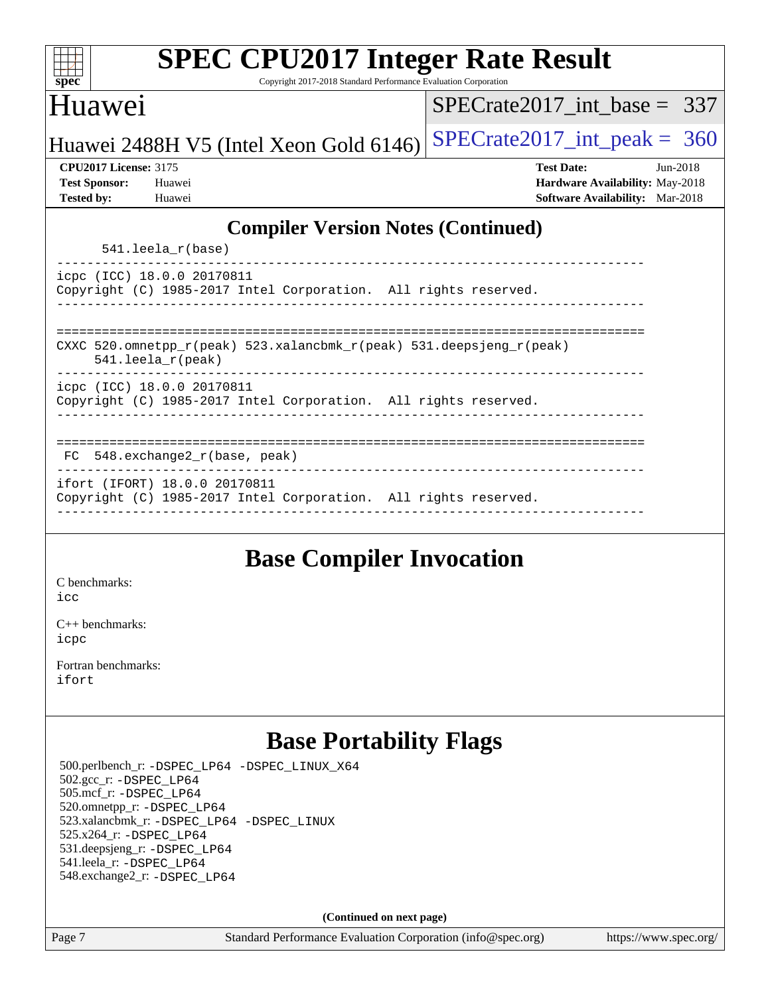| <b>SPEC CPU2017 Integer Rate Result</b><br>Copyright 2017-2018 Standard Performance Evaluation Corporation<br>spec <sup>®</sup> |                                                                                                              |  |  |  |  |  |
|---------------------------------------------------------------------------------------------------------------------------------|--------------------------------------------------------------------------------------------------------------|--|--|--|--|--|
| Huawei                                                                                                                          | $SPECrate2017\_int\_base = 337$                                                                              |  |  |  |  |  |
| Huawei 2488H V5 (Intel Xeon Gold 6146)                                                                                          | $SPECrate2017\_int\_peak = 360$                                                                              |  |  |  |  |  |
| <b>CPU2017 License: 3175</b><br><b>Test Sponsor:</b><br>Huawei<br><b>Tested by:</b><br>Huawei                                   | <b>Test Date:</b><br>$Jun-2018$<br>Hardware Availability: May-2018<br><b>Software Availability:</b> Mar-2018 |  |  |  |  |  |
| <b>Compiler Version Notes (Continued)</b>                                                                                       |                                                                                                              |  |  |  |  |  |
| $541.$ leela $r(base)$                                                                                                          |                                                                                                              |  |  |  |  |  |
| icpc (ICC) 18.0.0 20170811<br>Copyright (C) 1985-2017 Intel Corporation. All rights reserved.                                   |                                                                                                              |  |  |  |  |  |
| CXXC 520.omnetpp_r(peak) 523.xalancbmk_r(peak) 531.deepsjeng_r(peak)<br>$541.$ leela_r(peak)                                    |                                                                                                              |  |  |  |  |  |
| icpc (ICC) 18.0.0 20170811<br>Copyright (C) 1985-2017 Intel Corporation. All rights reserved.                                   |                                                                                                              |  |  |  |  |  |
| 548.exchange2_r(base, peak)<br>FC                                                                                               |                                                                                                              |  |  |  |  |  |
| ifort (IFORT) 18.0.0 20170811<br>Copyright (C) 1985-2017 Intel Corporation. All rights reserved.                                |                                                                                                              |  |  |  |  |  |
|                                                                                                                                 |                                                                                                              |  |  |  |  |  |

## **[Base Compiler Invocation](http://www.spec.org/auto/cpu2017/Docs/result-fields.html#BaseCompilerInvocation)**

[C benchmarks](http://www.spec.org/auto/cpu2017/Docs/result-fields.html#Cbenchmarks): [icc](http://www.spec.org/cpu2017/results/res2018q4/cpu2017-20181118-09820.flags.html#user_CCbase_intel_icc_18.0_66fc1ee009f7361af1fbd72ca7dcefbb700085f36577c54f309893dd4ec40d12360134090235512931783d35fd58c0460139e722d5067c5574d8eaf2b3e37e92)

[C++ benchmarks:](http://www.spec.org/auto/cpu2017/Docs/result-fields.html#CXXbenchmarks) [icpc](http://www.spec.org/cpu2017/results/res2018q4/cpu2017-20181118-09820.flags.html#user_CXXbase_intel_icpc_18.0_c510b6838c7f56d33e37e94d029a35b4a7bccf4766a728ee175e80a419847e808290a9b78be685c44ab727ea267ec2f070ec5dc83b407c0218cded6866a35d07)

[Fortran benchmarks](http://www.spec.org/auto/cpu2017/Docs/result-fields.html#Fortranbenchmarks): [ifort](http://www.spec.org/cpu2017/results/res2018q4/cpu2017-20181118-09820.flags.html#user_FCbase_intel_ifort_18.0_8111460550e3ca792625aed983ce982f94888b8b503583aa7ba2b8303487b4d8a21a13e7191a45c5fd58ff318f48f9492884d4413fa793fd88dd292cad7027ca)

## **[Base Portability Flags](http://www.spec.org/auto/cpu2017/Docs/result-fields.html#BasePortabilityFlags)**

 500.perlbench\_r: [-DSPEC\\_LP64](http://www.spec.org/cpu2017/results/res2018q4/cpu2017-20181118-09820.flags.html#b500.perlbench_r_basePORTABILITY_DSPEC_LP64) [-DSPEC\\_LINUX\\_X64](http://www.spec.org/cpu2017/results/res2018q4/cpu2017-20181118-09820.flags.html#b500.perlbench_r_baseCPORTABILITY_DSPEC_LINUX_X64) 502.gcc\_r: [-DSPEC\\_LP64](http://www.spec.org/cpu2017/results/res2018q4/cpu2017-20181118-09820.flags.html#suite_basePORTABILITY502_gcc_r_DSPEC_LP64) 505.mcf\_r: [-DSPEC\\_LP64](http://www.spec.org/cpu2017/results/res2018q4/cpu2017-20181118-09820.flags.html#suite_basePORTABILITY505_mcf_r_DSPEC_LP64) 520.omnetpp\_r: [-DSPEC\\_LP64](http://www.spec.org/cpu2017/results/res2018q4/cpu2017-20181118-09820.flags.html#suite_basePORTABILITY520_omnetpp_r_DSPEC_LP64) 523.xalancbmk\_r: [-DSPEC\\_LP64](http://www.spec.org/cpu2017/results/res2018q4/cpu2017-20181118-09820.flags.html#suite_basePORTABILITY523_xalancbmk_r_DSPEC_LP64) [-DSPEC\\_LINUX](http://www.spec.org/cpu2017/results/res2018q4/cpu2017-20181118-09820.flags.html#b523.xalancbmk_r_baseCXXPORTABILITY_DSPEC_LINUX) 525.x264\_r: [-DSPEC\\_LP64](http://www.spec.org/cpu2017/results/res2018q4/cpu2017-20181118-09820.flags.html#suite_basePORTABILITY525_x264_r_DSPEC_LP64) 531.deepsjeng\_r: [-DSPEC\\_LP64](http://www.spec.org/cpu2017/results/res2018q4/cpu2017-20181118-09820.flags.html#suite_basePORTABILITY531_deepsjeng_r_DSPEC_LP64) 541.leela\_r: [-DSPEC\\_LP64](http://www.spec.org/cpu2017/results/res2018q4/cpu2017-20181118-09820.flags.html#suite_basePORTABILITY541_leela_r_DSPEC_LP64) 548.exchange2\_r: [-DSPEC\\_LP64](http://www.spec.org/cpu2017/results/res2018q4/cpu2017-20181118-09820.flags.html#suite_basePORTABILITY548_exchange2_r_DSPEC_LP64)

**(Continued on next page)**

Page 7 Standard Performance Evaluation Corporation [\(info@spec.org\)](mailto:info@spec.org) <https://www.spec.org/>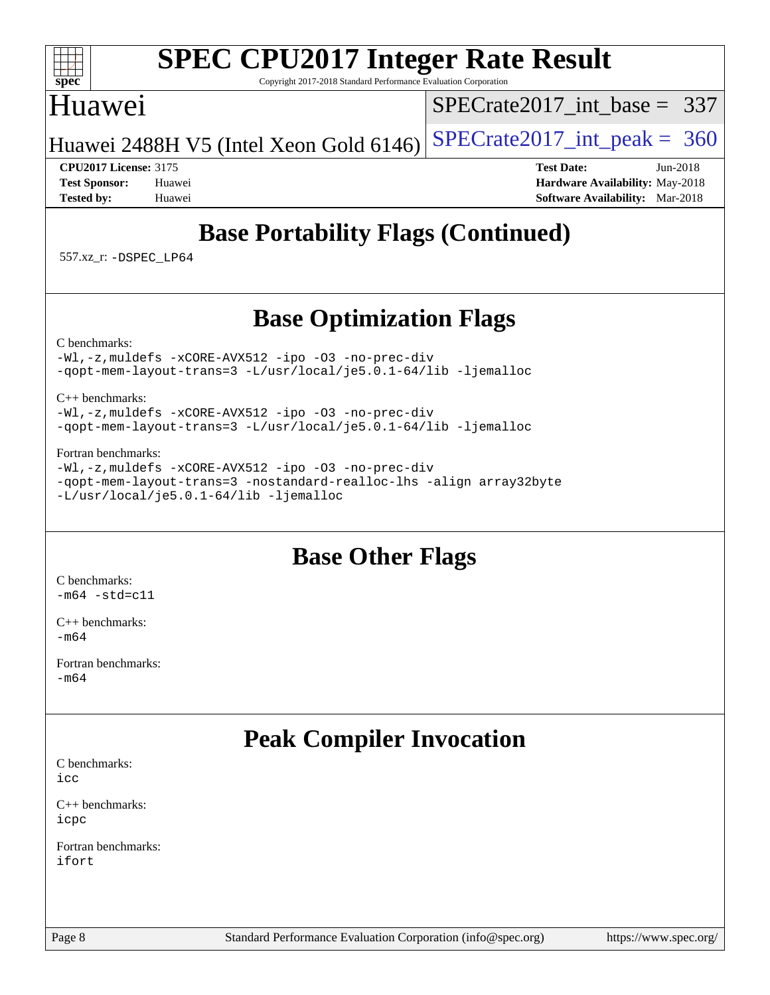### $+\ +$ **[spec](http://www.spec.org/)**

# **[SPEC CPU2017 Integer Rate Result](http://www.spec.org/auto/cpu2017/Docs/result-fields.html#SPECCPU2017IntegerRateResult)**

Copyright 2017-2018 Standard Performance Evaluation Corporation

## Huawei

[SPECrate2017\\_int\\_base =](http://www.spec.org/auto/cpu2017/Docs/result-fields.html#SPECrate2017intbase) 337

Huawei 2488H V5 (Intel Xeon Gold  $6146$ ) [SPECrate2017\\_int\\_peak =](http://www.spec.org/auto/cpu2017/Docs/result-fields.html#SPECrate2017intpeak) 360

**[CPU2017 License:](http://www.spec.org/auto/cpu2017/Docs/result-fields.html#CPU2017License)** 3175 **[Test Date:](http://www.spec.org/auto/cpu2017/Docs/result-fields.html#TestDate)** Jun-2018 **[Test Sponsor:](http://www.spec.org/auto/cpu2017/Docs/result-fields.html#TestSponsor)** Huawei **[Hardware Availability:](http://www.spec.org/auto/cpu2017/Docs/result-fields.html#HardwareAvailability)** May-2018 **[Tested by:](http://www.spec.org/auto/cpu2017/Docs/result-fields.html#Testedby)** Huawei **[Software Availability:](http://www.spec.org/auto/cpu2017/Docs/result-fields.html#SoftwareAvailability)** Mar-2018

# **[Base Portability Flags \(Continued\)](http://www.spec.org/auto/cpu2017/Docs/result-fields.html#BasePortabilityFlags)**

557.xz\_r: [-DSPEC\\_LP64](http://www.spec.org/cpu2017/results/res2018q4/cpu2017-20181118-09820.flags.html#suite_basePORTABILITY557_xz_r_DSPEC_LP64)

## **[Base Optimization Flags](http://www.spec.org/auto/cpu2017/Docs/result-fields.html#BaseOptimizationFlags)**

[C benchmarks](http://www.spec.org/auto/cpu2017/Docs/result-fields.html#Cbenchmarks):

[-Wl,-z,muldefs](http://www.spec.org/cpu2017/results/res2018q4/cpu2017-20181118-09820.flags.html#user_CCbase_link_force_multiple1_b4cbdb97b34bdee9ceefcfe54f4c8ea74255f0b02a4b23e853cdb0e18eb4525ac79b5a88067c842dd0ee6996c24547a27a4b99331201badda8798ef8a743f577) [-xCORE-AVX512](http://www.spec.org/cpu2017/results/res2018q4/cpu2017-20181118-09820.flags.html#user_CCbase_f-xCORE-AVX512) [-ipo](http://www.spec.org/cpu2017/results/res2018q4/cpu2017-20181118-09820.flags.html#user_CCbase_f-ipo) [-O3](http://www.spec.org/cpu2017/results/res2018q4/cpu2017-20181118-09820.flags.html#user_CCbase_f-O3) [-no-prec-div](http://www.spec.org/cpu2017/results/res2018q4/cpu2017-20181118-09820.flags.html#user_CCbase_f-no-prec-div) [-qopt-mem-layout-trans=3](http://www.spec.org/cpu2017/results/res2018q4/cpu2017-20181118-09820.flags.html#user_CCbase_f-qopt-mem-layout-trans_de80db37974c74b1f0e20d883f0b675c88c3b01e9d123adea9b28688d64333345fb62bc4a798493513fdb68f60282f9a726aa07f478b2f7113531aecce732043) [-L/usr/local/je5.0.1-64/lib](http://www.spec.org/cpu2017/results/res2018q4/cpu2017-20181118-09820.flags.html#user_CCbase_jemalloc_link_path64_4b10a636b7bce113509b17f3bd0d6226c5fb2346b9178c2d0232c14f04ab830f976640479e5c33dc2bcbbdad86ecfb6634cbbd4418746f06f368b512fced5394) [-ljemalloc](http://www.spec.org/cpu2017/results/res2018q4/cpu2017-20181118-09820.flags.html#user_CCbase_jemalloc_link_lib_d1249b907c500fa1c0672f44f562e3d0f79738ae9e3c4a9c376d49f265a04b9c99b167ecedbf6711b3085be911c67ff61f150a17b3472be731631ba4d0471706)

[C++ benchmarks:](http://www.spec.org/auto/cpu2017/Docs/result-fields.html#CXXbenchmarks)

[-Wl,-z,muldefs](http://www.spec.org/cpu2017/results/res2018q4/cpu2017-20181118-09820.flags.html#user_CXXbase_link_force_multiple1_b4cbdb97b34bdee9ceefcfe54f4c8ea74255f0b02a4b23e853cdb0e18eb4525ac79b5a88067c842dd0ee6996c24547a27a4b99331201badda8798ef8a743f577) [-xCORE-AVX512](http://www.spec.org/cpu2017/results/res2018q4/cpu2017-20181118-09820.flags.html#user_CXXbase_f-xCORE-AVX512) [-ipo](http://www.spec.org/cpu2017/results/res2018q4/cpu2017-20181118-09820.flags.html#user_CXXbase_f-ipo) [-O3](http://www.spec.org/cpu2017/results/res2018q4/cpu2017-20181118-09820.flags.html#user_CXXbase_f-O3) [-no-prec-div](http://www.spec.org/cpu2017/results/res2018q4/cpu2017-20181118-09820.flags.html#user_CXXbase_f-no-prec-div) [-qopt-mem-layout-trans=3](http://www.spec.org/cpu2017/results/res2018q4/cpu2017-20181118-09820.flags.html#user_CXXbase_f-qopt-mem-layout-trans_de80db37974c74b1f0e20d883f0b675c88c3b01e9d123adea9b28688d64333345fb62bc4a798493513fdb68f60282f9a726aa07f478b2f7113531aecce732043) [-L/usr/local/je5.0.1-64/lib](http://www.spec.org/cpu2017/results/res2018q4/cpu2017-20181118-09820.flags.html#user_CXXbase_jemalloc_link_path64_4b10a636b7bce113509b17f3bd0d6226c5fb2346b9178c2d0232c14f04ab830f976640479e5c33dc2bcbbdad86ecfb6634cbbd4418746f06f368b512fced5394) [-ljemalloc](http://www.spec.org/cpu2017/results/res2018q4/cpu2017-20181118-09820.flags.html#user_CXXbase_jemalloc_link_lib_d1249b907c500fa1c0672f44f562e3d0f79738ae9e3c4a9c376d49f265a04b9c99b167ecedbf6711b3085be911c67ff61f150a17b3472be731631ba4d0471706)

### [Fortran benchmarks](http://www.spec.org/auto/cpu2017/Docs/result-fields.html#Fortranbenchmarks):

[-Wl,-z,muldefs](http://www.spec.org/cpu2017/results/res2018q4/cpu2017-20181118-09820.flags.html#user_FCbase_link_force_multiple1_b4cbdb97b34bdee9ceefcfe54f4c8ea74255f0b02a4b23e853cdb0e18eb4525ac79b5a88067c842dd0ee6996c24547a27a4b99331201badda8798ef8a743f577) [-xCORE-AVX512](http://www.spec.org/cpu2017/results/res2018q4/cpu2017-20181118-09820.flags.html#user_FCbase_f-xCORE-AVX512) [-ipo](http://www.spec.org/cpu2017/results/res2018q4/cpu2017-20181118-09820.flags.html#user_FCbase_f-ipo) [-O3](http://www.spec.org/cpu2017/results/res2018q4/cpu2017-20181118-09820.flags.html#user_FCbase_f-O3) [-no-prec-div](http://www.spec.org/cpu2017/results/res2018q4/cpu2017-20181118-09820.flags.html#user_FCbase_f-no-prec-div) [-qopt-mem-layout-trans=3](http://www.spec.org/cpu2017/results/res2018q4/cpu2017-20181118-09820.flags.html#user_FCbase_f-qopt-mem-layout-trans_de80db37974c74b1f0e20d883f0b675c88c3b01e9d123adea9b28688d64333345fb62bc4a798493513fdb68f60282f9a726aa07f478b2f7113531aecce732043) [-nostandard-realloc-lhs](http://www.spec.org/cpu2017/results/res2018q4/cpu2017-20181118-09820.flags.html#user_FCbase_f_2003_std_realloc_82b4557e90729c0f113870c07e44d33d6f5a304b4f63d4c15d2d0f1fab99f5daaed73bdb9275d9ae411527f28b936061aa8b9c8f2d63842963b95c9dd6426b8a) [-align array32byte](http://www.spec.org/cpu2017/results/res2018q4/cpu2017-20181118-09820.flags.html#user_FCbase_align_array32byte_b982fe038af199962ba9a80c053b8342c548c85b40b8e86eb3cc33dee0d7986a4af373ac2d51c3f7cf710a18d62fdce2948f201cd044323541f22fc0fffc51b6) [-L/usr/local/je5.0.1-64/lib](http://www.spec.org/cpu2017/results/res2018q4/cpu2017-20181118-09820.flags.html#user_FCbase_jemalloc_link_path64_4b10a636b7bce113509b17f3bd0d6226c5fb2346b9178c2d0232c14f04ab830f976640479e5c33dc2bcbbdad86ecfb6634cbbd4418746f06f368b512fced5394) [-ljemalloc](http://www.spec.org/cpu2017/results/res2018q4/cpu2017-20181118-09820.flags.html#user_FCbase_jemalloc_link_lib_d1249b907c500fa1c0672f44f562e3d0f79738ae9e3c4a9c376d49f265a04b9c99b167ecedbf6711b3085be911c67ff61f150a17b3472be731631ba4d0471706)

## **[Base Other Flags](http://www.spec.org/auto/cpu2017/Docs/result-fields.html#BaseOtherFlags)**

[C benchmarks](http://www.spec.org/auto/cpu2017/Docs/result-fields.html#Cbenchmarks):  $-m64 - std= c11$  $-m64 - std= c11$ 

[C++ benchmarks:](http://www.spec.org/auto/cpu2017/Docs/result-fields.html#CXXbenchmarks) [-m64](http://www.spec.org/cpu2017/results/res2018q4/cpu2017-20181118-09820.flags.html#user_CXXbase_intel_intel64_18.0_af43caccfc8ded86e7699f2159af6efc7655f51387b94da716254467f3c01020a5059329e2569e4053f409e7c9202a7efc638f7a6d1ffb3f52dea4a3e31d82ab)

[Fortran benchmarks](http://www.spec.org/auto/cpu2017/Docs/result-fields.html#Fortranbenchmarks): [-m64](http://www.spec.org/cpu2017/results/res2018q4/cpu2017-20181118-09820.flags.html#user_FCbase_intel_intel64_18.0_af43caccfc8ded86e7699f2159af6efc7655f51387b94da716254467f3c01020a5059329e2569e4053f409e7c9202a7efc638f7a6d1ffb3f52dea4a3e31d82ab)

# **[Peak Compiler Invocation](http://www.spec.org/auto/cpu2017/Docs/result-fields.html#PeakCompilerInvocation)**

[C benchmarks](http://www.spec.org/auto/cpu2017/Docs/result-fields.html#Cbenchmarks): [icc](http://www.spec.org/cpu2017/results/res2018q4/cpu2017-20181118-09820.flags.html#user_CCpeak_intel_icc_18.0_66fc1ee009f7361af1fbd72ca7dcefbb700085f36577c54f309893dd4ec40d12360134090235512931783d35fd58c0460139e722d5067c5574d8eaf2b3e37e92)

[C++ benchmarks:](http://www.spec.org/auto/cpu2017/Docs/result-fields.html#CXXbenchmarks) [icpc](http://www.spec.org/cpu2017/results/res2018q4/cpu2017-20181118-09820.flags.html#user_CXXpeak_intel_icpc_18.0_c510b6838c7f56d33e37e94d029a35b4a7bccf4766a728ee175e80a419847e808290a9b78be685c44ab727ea267ec2f070ec5dc83b407c0218cded6866a35d07)

[Fortran benchmarks](http://www.spec.org/auto/cpu2017/Docs/result-fields.html#Fortranbenchmarks): [ifort](http://www.spec.org/cpu2017/results/res2018q4/cpu2017-20181118-09820.flags.html#user_FCpeak_intel_ifort_18.0_8111460550e3ca792625aed983ce982f94888b8b503583aa7ba2b8303487b4d8a21a13e7191a45c5fd58ff318f48f9492884d4413fa793fd88dd292cad7027ca)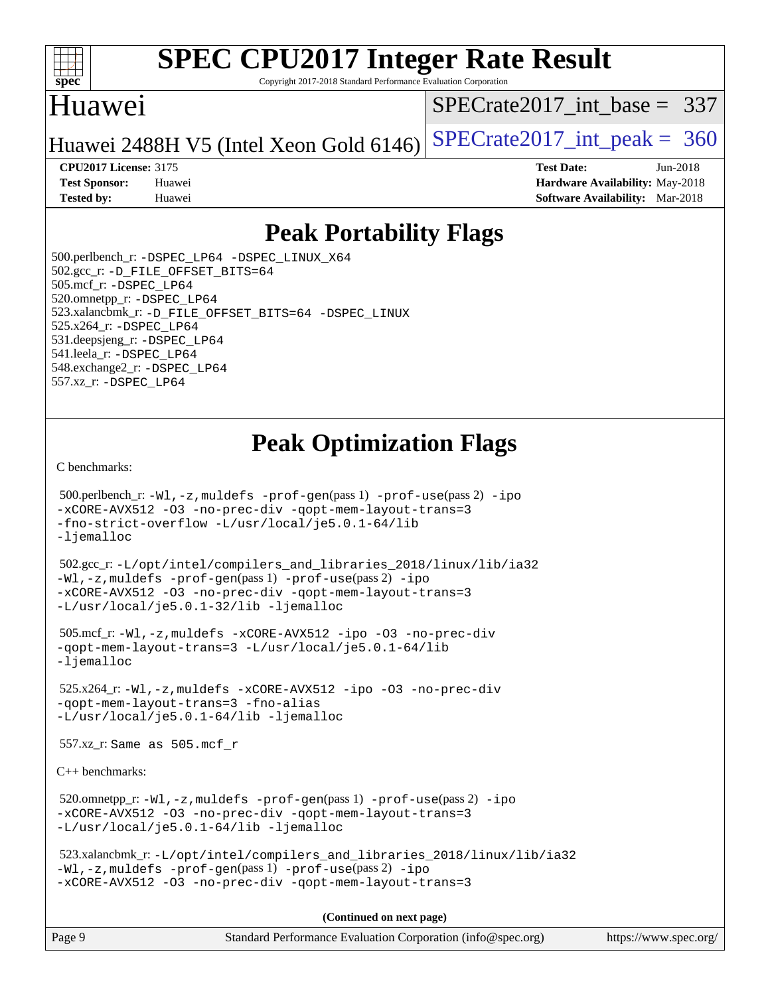

Copyright 2017-2018 Standard Performance Evaluation Corporation

## Huawei

[SPECrate2017\\_int\\_base =](http://www.spec.org/auto/cpu2017/Docs/result-fields.html#SPECrate2017intbase) 337

Huawei 2488H V5 (Intel Xeon Gold  $6146$ ) [SPECrate2017\\_int\\_peak =](http://www.spec.org/auto/cpu2017/Docs/result-fields.html#SPECrate2017intpeak) 360

**[Tested by:](http://www.spec.org/auto/cpu2017/Docs/result-fields.html#Testedby)** Huawei **[Software Availability:](http://www.spec.org/auto/cpu2017/Docs/result-fields.html#SoftwareAvailability)** Mar-2018

**[CPU2017 License:](http://www.spec.org/auto/cpu2017/Docs/result-fields.html#CPU2017License)** 3175 **[Test Date:](http://www.spec.org/auto/cpu2017/Docs/result-fields.html#TestDate)** Jun-2018 **[Test Sponsor:](http://www.spec.org/auto/cpu2017/Docs/result-fields.html#TestSponsor)** Huawei **[Hardware Availability:](http://www.spec.org/auto/cpu2017/Docs/result-fields.html#HardwareAvailability)** May-2018

## **[Peak Portability Flags](http://www.spec.org/auto/cpu2017/Docs/result-fields.html#PeakPortabilityFlags)**

 500.perlbench\_r: [-DSPEC\\_LP64](http://www.spec.org/cpu2017/results/res2018q4/cpu2017-20181118-09820.flags.html#b500.perlbench_r_peakPORTABILITY_DSPEC_LP64) [-DSPEC\\_LINUX\\_X64](http://www.spec.org/cpu2017/results/res2018q4/cpu2017-20181118-09820.flags.html#b500.perlbench_r_peakCPORTABILITY_DSPEC_LINUX_X64) 502.gcc\_r: [-D\\_FILE\\_OFFSET\\_BITS=64](http://www.spec.org/cpu2017/results/res2018q4/cpu2017-20181118-09820.flags.html#user_peakPORTABILITY502_gcc_r_file_offset_bits_64_5ae949a99b284ddf4e95728d47cb0843d81b2eb0e18bdfe74bbf0f61d0b064f4bda2f10ea5eb90e1dcab0e84dbc592acfc5018bc955c18609f94ddb8d550002c) 505.mcf\_r: [-DSPEC\\_LP64](http://www.spec.org/cpu2017/results/res2018q4/cpu2017-20181118-09820.flags.html#suite_peakPORTABILITY505_mcf_r_DSPEC_LP64) 520.omnetpp\_r: [-DSPEC\\_LP64](http://www.spec.org/cpu2017/results/res2018q4/cpu2017-20181118-09820.flags.html#suite_peakPORTABILITY520_omnetpp_r_DSPEC_LP64) 523.xalancbmk\_r: [-D\\_FILE\\_OFFSET\\_BITS=64](http://www.spec.org/cpu2017/results/res2018q4/cpu2017-20181118-09820.flags.html#user_peakPORTABILITY523_xalancbmk_r_file_offset_bits_64_5ae949a99b284ddf4e95728d47cb0843d81b2eb0e18bdfe74bbf0f61d0b064f4bda2f10ea5eb90e1dcab0e84dbc592acfc5018bc955c18609f94ddb8d550002c) [-DSPEC\\_LINUX](http://www.spec.org/cpu2017/results/res2018q4/cpu2017-20181118-09820.flags.html#b523.xalancbmk_r_peakCXXPORTABILITY_DSPEC_LINUX) 525.x264\_r: [-DSPEC\\_LP64](http://www.spec.org/cpu2017/results/res2018q4/cpu2017-20181118-09820.flags.html#suite_peakPORTABILITY525_x264_r_DSPEC_LP64) 531.deepsjeng\_r: [-DSPEC\\_LP64](http://www.spec.org/cpu2017/results/res2018q4/cpu2017-20181118-09820.flags.html#suite_peakPORTABILITY531_deepsjeng_r_DSPEC_LP64) 541.leela\_r: [-DSPEC\\_LP64](http://www.spec.org/cpu2017/results/res2018q4/cpu2017-20181118-09820.flags.html#suite_peakPORTABILITY541_leela_r_DSPEC_LP64) 548.exchange2\_r: [-DSPEC\\_LP64](http://www.spec.org/cpu2017/results/res2018q4/cpu2017-20181118-09820.flags.html#suite_peakPORTABILITY548_exchange2_r_DSPEC_LP64) 557.xz\_r: [-DSPEC\\_LP64](http://www.spec.org/cpu2017/results/res2018q4/cpu2017-20181118-09820.flags.html#suite_peakPORTABILITY557_xz_r_DSPEC_LP64)

# **[Peak Optimization Flags](http://www.spec.org/auto/cpu2017/Docs/result-fields.html#PeakOptimizationFlags)**

[C benchmarks](http://www.spec.org/auto/cpu2017/Docs/result-fields.html#Cbenchmarks):

```
 500.perlbench_r: -Wl,-z,muldefs -prof-gen(pass 1) -prof-use(pass 2) -ipo
-xCORE-AVX512 -O3 -no-prec-div -qopt-mem-layout-trans=3
-fno-strict-overflow -L/usr/local/je5.0.1-64/lib
-ljemalloc
 502.gcc_r: -L/opt/intel/compilers_and_libraries_2018/linux/lib/ia32
-Wl,-z,muldefs -prof-gen(pass 1) -prof-use(pass 2) -ipo
-xCORE-AVX512 -O3 -no-prec-div -qopt-mem-layout-trans=3
-L/usr/local/je5.0.1-32/lib -ljemalloc
 505.mcf_r: -Wl,-z,muldefs -xCORE-AVX512 -ipo -O3 -no-prec-div
-qopt-mem-layout-trans=3 -L/usr/local/je5.0.1-64/lib
-ljemalloc
 525.x264_r: -Wl,-z,muldefs -xCORE-AVX512 -ipo -O3 -no-prec-div
-qopt-mem-layout-trans=3 -fno-alias
-L/usr/local/je5.0.1-64/lib -ljemalloc
 557.xz_r: Same as 505.mcf_r
C++ benchmarks: 
 520.omnetpp_r: -Wl,-z,muldefs -prof-gen(pass 1) -prof-use(pass 2) -ipo
-xCORE-AVX512 -O3 -no-prec-div -qopt-mem-layout-trans=3
-L/usr/local/je5.0.1-64/lib -ljemalloc
 523.xalancbmk_r: -L/opt/intel/compilers_and_libraries_2018/linux/lib/ia32
-Wl,-z,muldefs -prof-gen(pass 1) -prof-use(pass 2) -ipo
-xCORE-AVX512 -O3 -no-prec-div -qopt-mem-layout-trans=3
                                      (Continued on next page)
```
Page 9 Standard Performance Evaluation Corporation [\(info@spec.org\)](mailto:info@spec.org) <https://www.spec.org/>